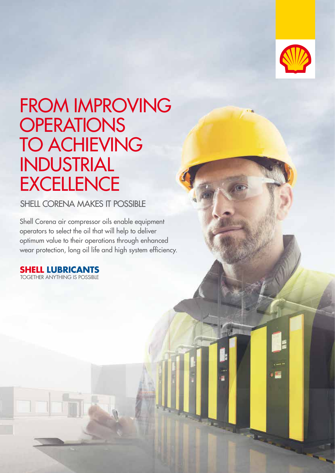

# FROM IMPROVING **OPERATIONS** TO ACHIEVING INDUSTRIAL **EXCELLENCE**

SHELL CORENA MAKES IT POSSIBLE

Shell Corena air compressor oils enable equipment operators to select the oil that will help to deliver optimum value to their operations through enhanced wear protection, long oil life and high system efficiency.

**SHELL LUBRICANTS** TOGETHER ANYTHING IS POSSIBLE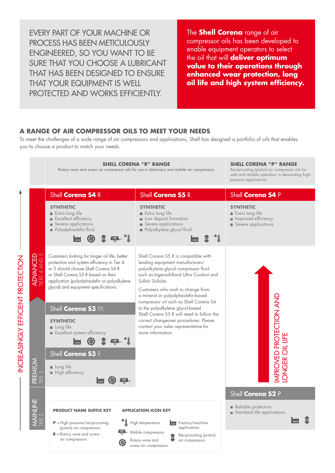EVERY PART OF YOUR MACHINE OR PROCESS HAS BEEN METICULOUSLY ENGINEERED, SO YOU WANT TO BE SURE THAT YOU CHOOSE A LUBRICANT THAT HAS BEEN DESIGNED TO ENSURE THAT YOUR EQUIPMENT IS WELL PROTECTED AND WORKS EFFICIENTLY.

The **Shell Corena** range of air compressor oils has been developed to enable equipment operators to select the oil that will **deliver optimum value to their operations through enhanced wear protection, long oil life and high system efficiency.**

#### **A RANGE OF AIR COMPRESSOR OILS TO MEET YOUR NEEDS**

To meet the challenges of a wide range of air compressors and applications, Shell has designed a portfolio of oils that enables you to choose a product to match your needs.

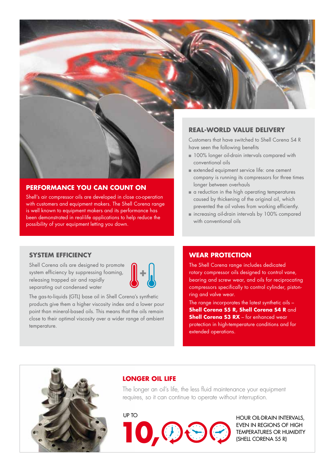

## **REAL-WORLD VALUE DELIVERY**

Customers that have switched to Shell Corena S4 R have seen the following benefits

- 100% longer oil-drain intervals compared with conventional oils
- <sup>n</sup> extended equipment service life: one cement company is running its compressors for three times longer between overhauls
- $\blacksquare$  a reduction in the high operating temperatures caused by thickening of the original oil, which prevented the oil valves from working efficiently.
- n increasing oil-drain intervals by 100% compared with conventional oils

### **PERFORMANCE YOU CAN COUNT ON**

Shell's air compressor oils are developed in close co-operation with customers and equipment makers. The Shell Corena range is well known to equipment makers and its performance has been demonstrated in real-life applications to help reduce the possibility of your equipment letting you down.

#### **SYSTEM EFFICIENCY**

Shell Corena oils are designed to promote system efficiency by suppressing foaming, releasing trapped air and rapidly separating out condensed water



The gas-to-liquids (GTL) base oil in Shell Corena's synthetic products give them a higher viscosity index and a lower pour point than mineral-based oils. This means that the oils remain close to their optimal viscosity over a wider range of ambient temperature.

#### **WEAR PROTECTION**

The Shell Corena range includes dedicated rotary compressor oils designed to control vane, bearing and screw wear, and oils for reciprocating compressors specifically to control cylinder, pistonring and valve wear.

The range incorporates the latest synthetic oils – **Shell Corena S5 R, Shell Corena S4 R** and **Shell Corena S3 RX** – for enhanced wear protection in high-temperature conditions and for extended operations.



#### **LONGER OIL LIFE**

The longer an oil's life, the less fluid maintenance your equipment requires, so it can continue to operate without interruption.



EVEN IN REGIONS OF HIGH